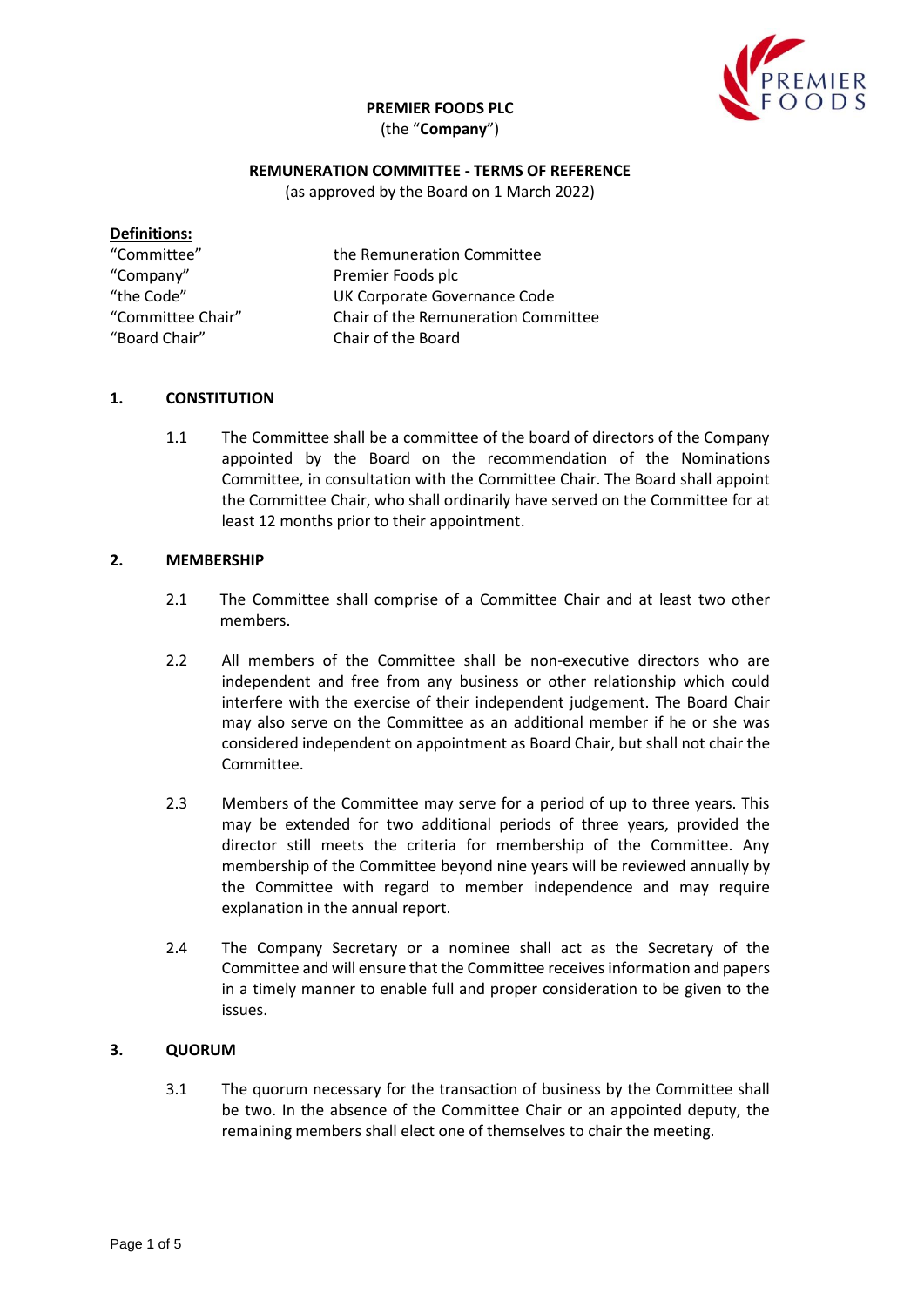**PREMIER FOODS PLC**

(the "**Company**")



## **REMUNERATION COMMITTEE - TERMS OF REFERENCE**

(as approved by the Board on 1 March 2022)

| <b>Definitions:</b> |                                     |
|---------------------|-------------------------------------|
| "Committee"         | the Remuneration Committee          |
| "Company"           | Premier Foods plc                   |
| "the Code"          | UK Corporate Governance Code        |
| "Committee Chair"   | Chair of the Remuneration Committee |
| "Board Chair"       | Chair of the Board                  |

### **1. CONSTITUTION**

1.1 The Committee shall be a committee of the board of directors of the Company appointed by the Board on the recommendation of the Nominations Committee, in consultation with the Committee Chair. The Board shall appoint the Committee Chair, who shall ordinarily have served on the Committee for at least 12 months prior to their appointment.

#### **2. MEMBERSHIP**

- 2.1 The Committee shall comprise of a Committee Chair and at least two other members.
- 2.2 All members of the Committee shall be non-executive directors who are independent and free from any business or other relationship which could interfere with the exercise of their independent judgement. The Board Chair may also serve on the Committee as an additional member if he or she was considered independent on appointment as Board Chair, but shall not chair the Committee.
- 2.3 Members of the Committee may serve for a period of up to three years. This may be extended for two additional periods of three years, provided the director still meets the criteria for membership of the Committee. Any membership of the Committee beyond nine years will be reviewed annually by the Committee with regard to member independence and may require explanation in the annual report.
- 2.4 The Company Secretary or a nominee shall act as the Secretary of the Committee and will ensure that the Committee receivesinformation and papers in a timely manner to enable full and proper consideration to be given to the issues.

### **3. QUORUM**

3.1 The quorum necessary for the transaction of business by the Committee shall be two. In the absence of the Committee Chair or an appointed deputy, the remaining members shall elect one of themselves to chair the meeting.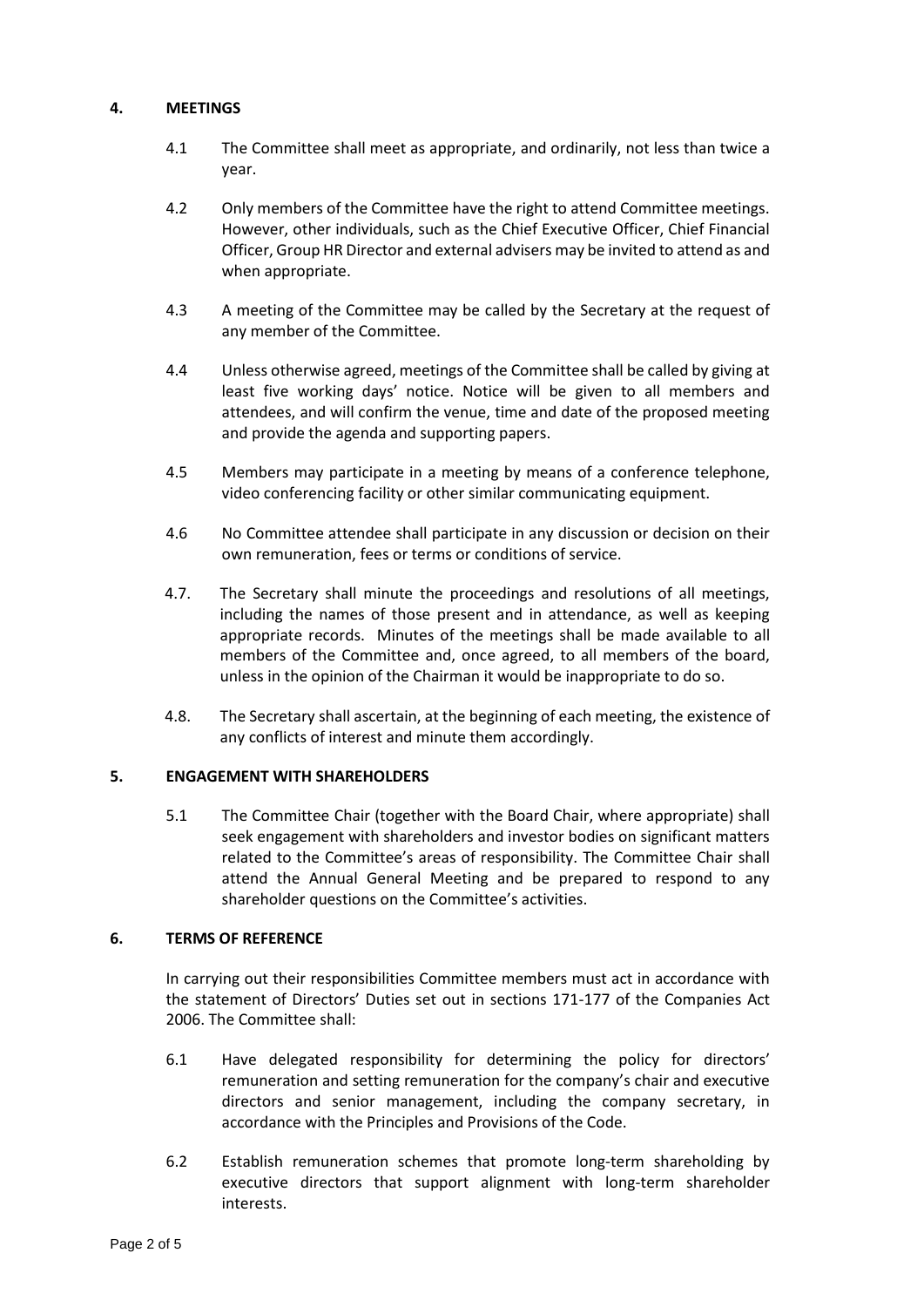## **4. MEETINGS**

- 4.1 The Committee shall meet as appropriate, and ordinarily, not less than twice a year.
- 4.2 Only members of the Committee have the right to attend Committee meetings. However, other individuals, such as the Chief Executive Officer, Chief Financial Officer, Group HR Director and external advisers may be invited to attend as and when appropriate.
- 4.3 A meeting of the Committee may be called by the Secretary at the request of any member of the Committee.
- 4.4 Unless otherwise agreed, meetings of the Committee shall be called by giving at least five working days' notice. Notice will be given to all members and attendees, and will confirm the venue, time and date of the proposed meeting and provide the agenda and supporting papers.
- 4.5 Members may participate in a meeting by means of a conference telephone, video conferencing facility or other similar communicating equipment.
- 4.6 No Committee attendee shall participate in any discussion or decision on their own remuneration, fees or terms or conditions of service.
- 4.7. The Secretary shall minute the proceedings and resolutions of all meetings, including the names of those present and in attendance, as well as keeping appropriate records. Minutes of the meetings shall be made available to all members of the Committee and, once agreed, to all members of the board, unless in the opinion of the Chairman it would be inappropriate to do so.
- 4.8. The Secretary shall ascertain, at the beginning of each meeting, the existence of any conflicts of interest and minute them accordingly.

## **5. ENGAGEMENT WITH SHAREHOLDERS**

5.1 The Committee Chair (together with the Board Chair, where appropriate) shall seek engagement with shareholders and investor bodies on significant matters related to the Committee's areas of responsibility. The Committee Chair shall attend the Annual General Meeting and be prepared to respond to any shareholder questions on the Committee's activities.

### **6. TERMS OF REFERENCE**

In carrying out their responsibilities Committee members must act in accordance with the statement of Directors' Duties set out in sections 171-177 of the Companies Act 2006. The Committee shall:

- 6.1 Have delegated responsibility for determining the policy for directors' remuneration and setting remuneration for the company's chair and executive directors and senior management, including the company secretary, in accordance with the Principles and Provisions of the Code.
- 6.2 Establish remuneration schemes that promote long-term shareholding by executive directors that support alignment with long-term shareholder interests.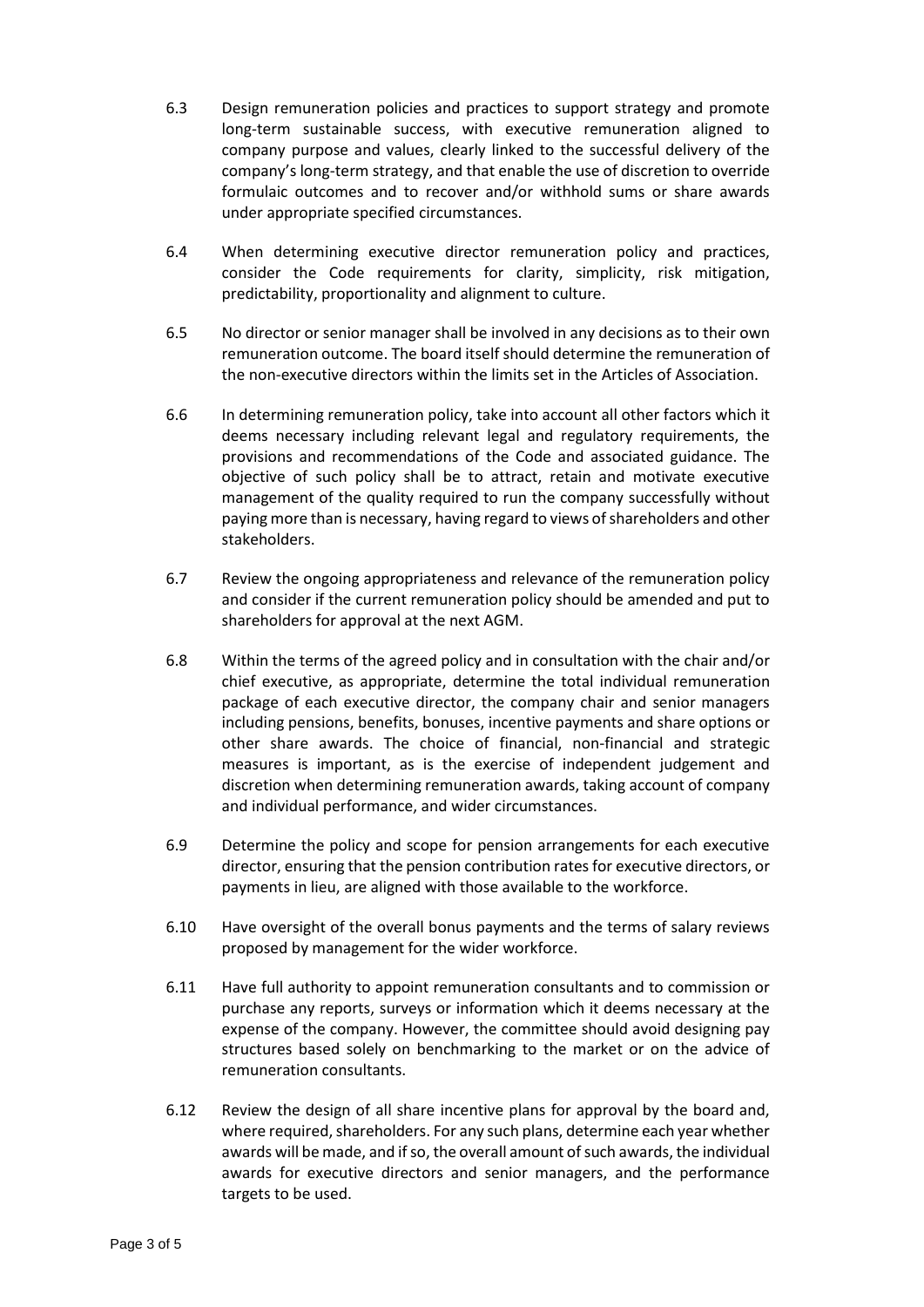- 6.3 Design remuneration policies and practices to support strategy and promote long-term sustainable success, with executive remuneration aligned to company purpose and values, clearly linked to the successful delivery of the company's long-term strategy, and that enable the use of discretion to override formulaic outcomes and to recover and/or withhold sums or share awards under appropriate specified circumstances.
- 6.4 When determining executive director remuneration policy and practices, consider the Code requirements for clarity, simplicity, risk mitigation, predictability, proportionality and alignment to culture.
- 6.5 No director or senior manager shall be involved in any decisions as to their own remuneration outcome. The board itself should determine the remuneration of the non-executive directors within the limits set in the Articles of Association.
- 6.6 In determining remuneration policy, take into account all other factors which it deems necessary including relevant legal and regulatory requirements, the provisions and recommendations of the Code and associated guidance. The objective of such policy shall be to attract, retain and motivate executive management of the quality required to run the company successfully without paying more than is necessary, having regard to views of shareholders and other stakeholders.
- 6.7 Review the ongoing appropriateness and relevance of the remuneration policy and consider if the current remuneration policy should be amended and put to shareholders for approval at the next AGM.
- 6.8 Within the terms of the agreed policy and in consultation with the chair and/or chief executive, as appropriate, determine the total individual remuneration package of each executive director, the company chair and senior managers including pensions, benefits, bonuses, incentive payments and share options or other share awards. The choice of financial, non-financial and strategic measures is important, as is the exercise of independent judgement and discretion when determining remuneration awards, taking account of company and individual performance, and wider circumstances.
- 6.9 Determine the policy and scope for pension arrangements for each executive director, ensuring that the pension contribution rates for executive directors, or payments in lieu, are aligned with those available to the workforce.
- 6.10 Have oversight of the overall bonus payments and the terms of salary reviews proposed by management for the wider workforce.
- 6.11 Have full authority to appoint remuneration consultants and to commission or purchase any reports, surveys or information which it deems necessary at the expense of the company. However, the committee should avoid designing pay structures based solely on benchmarking to the market or on the advice of remuneration consultants.
- 6.12 Review the design of all share incentive plans for approval by the board and, where required, shareholders. For any such plans, determine each year whether awards will be made, and if so, the overall amount of such awards, the individual awards for executive directors and senior managers, and the performance targets to be used.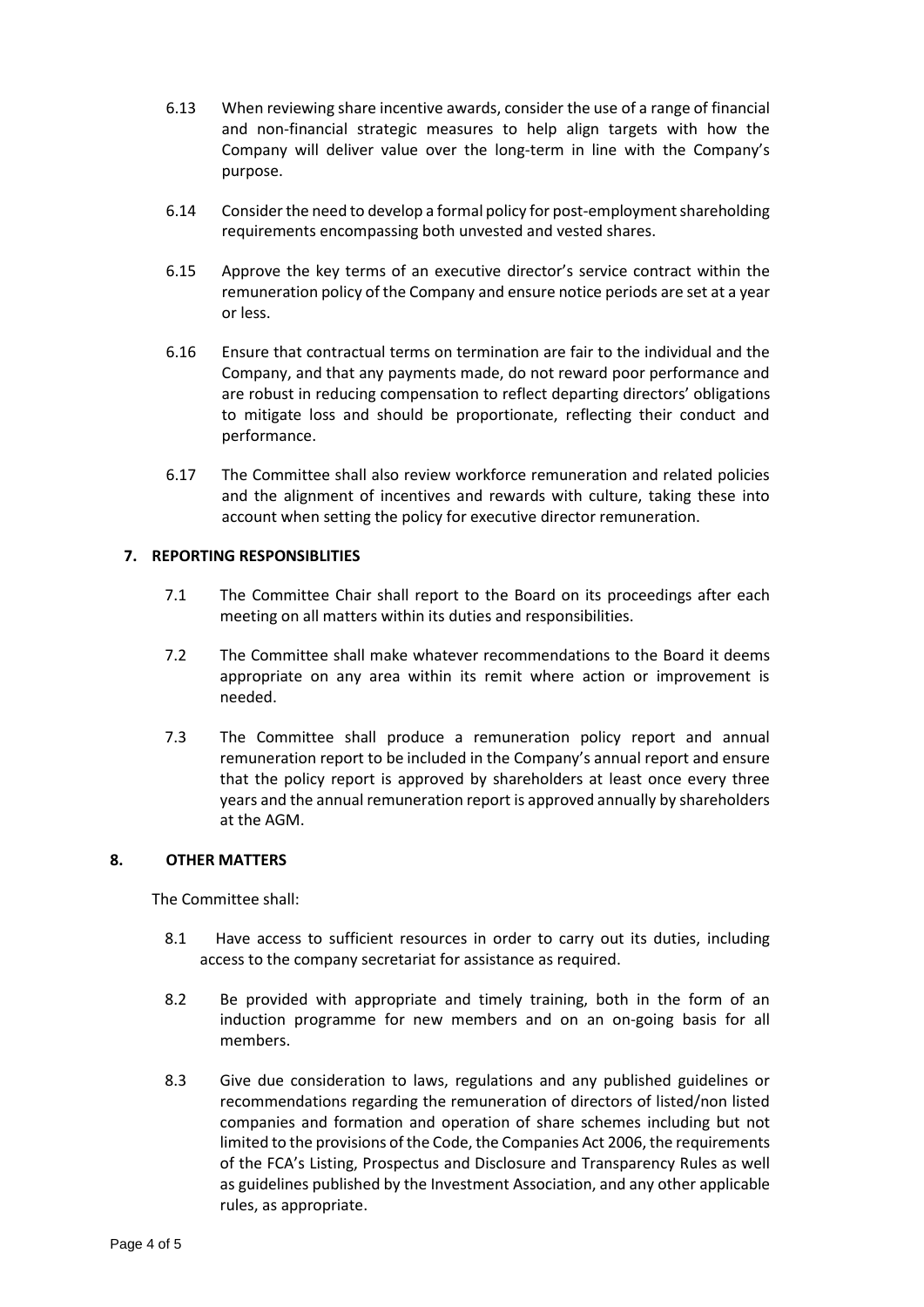- 6.13 When reviewing share incentive awards, consider the use of a range of financial and non-financial strategic measures to help align targets with how the Company will deliver value over the long-term in line with the Company's purpose.
- 6.14 Consider the need to develop a formal policy for post-employment shareholding requirements encompassing both unvested and vested shares.
- 6.15 Approve the key terms of an executive director's service contract within the remuneration policy of the Company and ensure notice periods are set at a year or less.
- 6.16 Ensure that contractual terms on termination are fair to the individual and the Company, and that any payments made, do not reward poor performance and are robust in reducing compensation to reflect departing directors' obligations to mitigate loss and should be proportionate, reflecting their conduct and performance.
- 6.17 The Committee shall also review workforce remuneration and related policies and the alignment of incentives and rewards with culture, taking these into account when setting the policy for executive director remuneration.

### **7. REPORTING RESPONSIBLITIES**

- 7.1 The Committee Chair shall report to the Board on its proceedings after each meeting on all matters within its duties and responsibilities.
- 7.2 The Committee shall make whatever recommendations to the Board it deems appropriate on any area within its remit where action or improvement is needed.
- 7.3 The Committee shall produce a remuneration policy report and annual remuneration report to be included in the Company's annual report and ensure that the policy report is approved by shareholders at least once every three years and the annual remuneration report is approved annually by shareholders at the AGM.

### **8. OTHER MATTERS**

The Committee shall:

- 8.1 Have access to sufficient resources in order to carry out its duties, including access to the company secretariat for assistance as required.
- 8.2 Be provided with appropriate and timely training, both in the form of an induction programme for new members and on an on-going basis for all members.
- 8.3 Give due consideration to laws, regulations and any published guidelines or recommendations regarding the remuneration of directors of listed/non listed companies and formation and operation of share schemes including but not limited to the provisions of the Code, the Companies Act 2006, the requirements of the FCA's Listing, Prospectus and Disclosure and Transparency Rules as well as guidelines published by the Investment Association, and any other applicable rules, as appropriate.